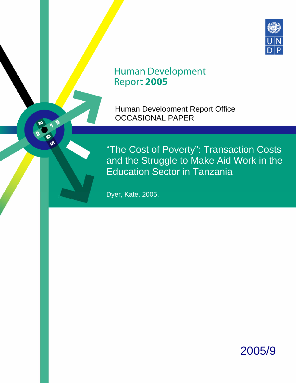

# **Human Development** Report 2005

Human Development Report Office OCCASIONAL PAPER

"The Cost of Poverty": Transaction Costs and the Struggle to Make Aid Work in the Education Sector in Tanzania

Dyer, Kate. 2005.

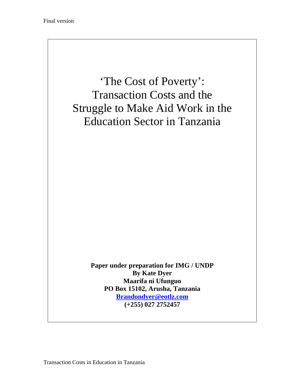

Transaction Costs in Education in Tanzania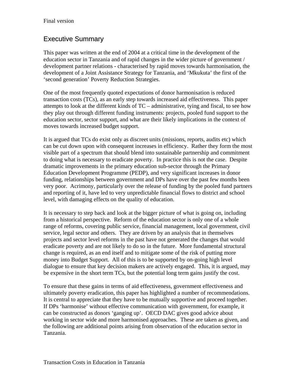## Executive Summary

This paper was written at the end of 2004 at a critical time in the development of the education sector in Tanzania and of rapid changes in the wider picture of government / development partner relations - characterised by rapid moves towards harmonisation, the development of a Joint Assistance Strategy for Tanzania, and 'Mkukuta' the first of the 'second generation' Poverty Reduction Strategies.

One of the most frequently quoted expectations of donor harmonisation is reduced transaction costs (TCs), as an early step towards increased aid effectiveness. This paper attempts to look at the different kinds of TC – administrative, tying and fiscal, to see how they play out through different funding instruments: projects, pooled fund support to the education sector, sector support, and what are their likely implications in the context of moves towards increased budget support.

It is argued that TCs do exist only as discreet units (missions, reports, audits etc) which can be cut down upon with consequent increases in efficiency. Rather they form the most visible part of a spectrum that should blend into sustainable partnership and commitment to doing what is necessary to eradicate poverty. In practice this is not the case. Despite dramatic improvements in the primary education sub-sector through the Primary Education Development Programme (PEDP), and very significant increases in donor funding, relationships between government and DPs have over the past few months been very poor. Acrimony, particularly over the release of funding by the pooled fund partners and reporting of it, have led to very unpredictable financial flows to district and school level, with damaging effects on the quality of education.

It is necessary to step back and look at the bigger picture of what is going on, including from a historical perspective. Reform of the education sector is only one of a whole range of reforms, covering public service, financial management, local government, civil service, legal sector and others. They are driven by an analysis that in themselves projects and sector level reforms in the past have not generated the changes that would eradicate poverty and are not likely to do so in the future. More fundamental structural change is required, as an end itself and to mitigate some of the risk of putting more money into Budget Support. All of this is to be supported by on-going high level dialogue to ensure that key decision makers are actively engaged. This, it is argued, may be expensive in the short term TCs, but the potential long term gains justify the cost.

To ensure that these gains in terms of aid effectiveness, government effectiveness and ultimately poverty eradication, this paper has highlighted a number of recommendations. It is central to appreciate that they have to be mutually supportive and proceed together. If DPs 'harmonise' without effective communication with government, for example, it can be constructed as donors 'ganging up'. OECD DAC gives good advice about working in sector wide and more harmonised approaches. These are taken as given, and the following are additional points arising from observation of the education sector in Tanzania.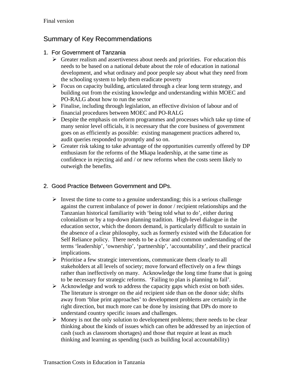## Summary of Key Recommendations

#### 1. For Government of Tanzania

- $\triangleright$  Greater realism and assertiveness about needs and priorities. For education this needs to be based on a national debate about the role of education in national development, and what ordinary and poor people say about what they need from the schooling system to help them eradicate poverty
- $\triangleright$  Focus on capacity building, articulated through a clear long term strategy, and building out from the existing knowledge and understanding within MOEC and PO-RALG about how to run the sector
- $\triangleright$  Finalise, including through legislation, an effective division of labour and of financial procedures between MOEC and PO-RALG
- $\triangleright$  Despite the emphasis on reform programmes and processes which take up time of many senior level officials, it is necessary that the core business of government goes on as efficiently as possible: existing management practices adhered to, audit queries responded to promptly and so on.
- $\triangleright$  Greater risk taking to take advantage of the opportunities currently offered by DP enthusiasm for the reforms of the Mkapa leadership, at the same time as confidence in rejecting aid and / or new reforms when the costs seem likely to outweigh the benefits.

#### 2. Good Practice Between Government and DPs.

- $\triangleright$  Invest the time to come to a genuine understanding; this is a serious challenge against the current imbalance of power in donor / recipient relationships and the Tanzanian historical familiarity with 'being told what to do', either during colonialism or by a top-down planning tradition. High-level dialogue in the education sector, which the donors demand, is particularly difficult to sustain in the absence of a clear philosophy, such as formerly existed with the Education for Self Reliance policy. There needs to be a clear and common understanding of the terms 'leadership', 'ownership', 'partnership', 'accountability', and their practical implications.
- $\triangleright$  Prioritise a few strategic interventions, communicate them clearly to all stakeholders at all levels of society; move forward effectively on a few things rather than ineffectively on many. Acknowledge the long time frame that is going to be necessary for strategic reforms. 'Failing to plan is planning to fail'.
- $\triangleright$  Acknowledge and work to address the capacity gaps which exist on both sides. The literature is stronger on the aid recipient side than on the donor side; shifts away from 'blue print approaches' to development problems are certainly in the right direction, but much more can be done by insisting that DPs do more to understand country specific issues and challenges.
- $\triangleright$  Money is not the only solution to development problems; there needs to be clear thinking about the kinds of issues which can often be addressed by an injection of cash (such as classroom shortages) and those that require at least as much thinking and learning as spending (such as building local accountability)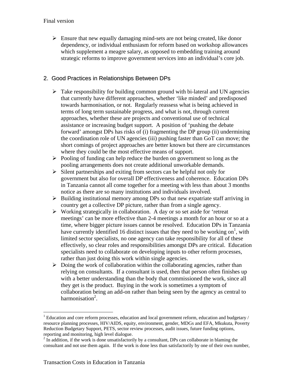$\triangleright$  Ensure that new equally damaging mind-sets are not being created, like donor dependency, or individual enthusiasm for reform based on workshop allowances which supplement a meagre salary, as opposed to embedding training around strategic reforms to improve government services into an individual's core job.

#### 2. Good Practices in Relationships Between DPs

- $\triangleright$  Take responsibility for building common ground with bi-lateral and UN agencies that currently have different approaches, whether 'like minded' and predisposed towards harmonisation, or not. Regularly reassess what is being achieved in terms of long term sustainable progress, and what is not, through current approaches, whether these are projects and conventional use of technical assistance or increasing budget support. A position of 'pushing the debate forward' amongst DPs has risks of (i) fragmenting the DP group (ii) undermining the coordination role of UN agencies (iii) pushing faster than GoT can move; the short comings of project approaches are better known but there are circumstances where they could be the most effective means of support.
- $\triangleright$  Pooling of funding can help reduce the burden on government so long as the pooling arrangements does not create additional unworkable demands.
- $\triangleright$  Silent partnerships and exiting from sectors can be helpful not only for government but also for overall DP effectiveness and coherence. Education DPs in Tanzania cannot all come together for a meeting with less than about 3 months notice as there are so many institutions and individuals involved.
- $\triangleright$  Building institutional memory among DPs so that new expatriate staff arriving in country get a collective DP picture, rather than from a single agency.
- $\triangleright$  Working strategically in collaboration. A day or so set aside for 'retreat' meetings' can be more effective than 2-4 meetings a month for an hour or so at a time, where bigger picture issues cannot be resolved. Education DPs in Tanzania have currently identified 16 distinct issues that they need to be working on<sup>1</sup>, with limited sector specialists, no one agency can take responsibility for all of these effectively, so clear roles and responsibilities amongst DPs are critical. Education specialists need to collaborate on developing inputs to other reform processes, rather than just doing this work within single agencies.
- $\triangleright$  Doing the work of collaboration within the collaborating agencies, rather than relying on consultants. If a consultant is used, then that person often finishes up with a better understanding than the body that commissioned the work, since all they get is the product. Buying in the work is sometimes a symptom of collaboration being an add-on rather than being seen by the agency as central to harmonisation<sup>2</sup>.

 $\overline{a}$ 

 $1$  Education and core reform processes, education and local government reform, education and budgetary / resource planning processes, HIV/AIDS, equity, environment, gender, MDGs and EFA, Mkukuta, Poverty Reduction Budgetary Support, PETS, sector review processes, audit issues, future funding options, reporting and monitoring, high level dialogue.

 $2<sup>2</sup>$  In addition, if the work is done unsatisfactorily by a consultant, DPs can collaborate in blaming the consultant and not use them again. If the work is done less than satisfactorily by one of their own number,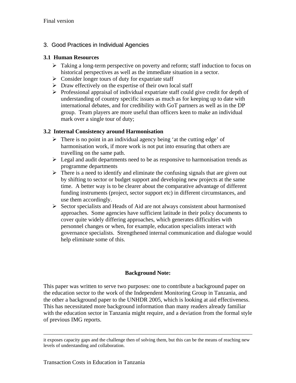#### 3. Good Practices in Individual Agencies

#### **3.1 Human Resources**

- $\triangleright$  Taking a long-term perspective on poverty and reform; staff induction to focus on historical perspectives as well as the immediate situation in a sector.
- $\triangleright$  Consider longer tours of duty for expatriate staff
- $\triangleright$  Draw effectively on the expertise of their own local staff
- $\triangleright$  Professional appraisal of individual expatriate staff could give credit for depth of understanding of country specific issues as much as for keeping up to date with international debates, and for credibility with GoT partners as well as in the DP group. Team players are more useful than officers keen to make an individual mark over a single tour of duty;

#### **3.2 Internal Consistency around Harmonisation**

- $\triangleright$  There is no point in an individual agency being 'at the cutting edge' of harmonisation work, if more work is not put into ensuring that others are travelling on the same path.
- $\triangleright$  Legal and audit departments need to be as responsive to harmonisation trends as programme departments
- $\triangleright$  There is a need to identify and eliminate the confusing signals that are given out by shifting to sector or budget support and developing new projects at the same time. A better way is to be clearer about the comparative advantage of different funding instruments (project, sector support etc) in different circumstances, and use them accordingly.
- $\triangleright$  Sector specialists and Heads of Aid are not always consistent about harmonised approaches. Some agencies have sufficient latitude in their policy documents to cover quite widely differing approaches, which generates difficulties with personnel changes or when, for example, education specialists interact with governance specialists. Strengthened internal communication and dialogue would help eliminate some of this.

#### **Background Note:**

This paper was written to serve two purposes: one to contribute a background paper on the education sector to the work of the Independent Monitoring Group in Tanzania, and the other a background paper to the UNHDR 2005, which is looking at aid effectiveness. This has necessitated more background information than many readers already familiar with the education sector in Tanzania might require, and a deviation from the formal style of previous IMG reports.

it exposes capacity gaps and the challenge then of solving them, but this can be the means of reaching new levels of understanding and collaboration.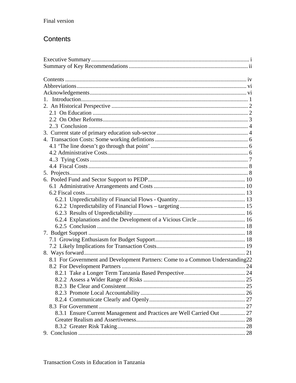## Contents

| $1_{-}$                                                                       |  |
|-------------------------------------------------------------------------------|--|
|                                                                               |  |
|                                                                               |  |
|                                                                               |  |
|                                                                               |  |
|                                                                               |  |
|                                                                               |  |
|                                                                               |  |
|                                                                               |  |
|                                                                               |  |
|                                                                               |  |
|                                                                               |  |
|                                                                               |  |
|                                                                               |  |
|                                                                               |  |
|                                                                               |  |
|                                                                               |  |
|                                                                               |  |
| 6.2.4 Explanations and the Development of a Vicious Circle  16                |  |
|                                                                               |  |
|                                                                               |  |
|                                                                               |  |
|                                                                               |  |
|                                                                               |  |
| 8.1 For Government and Development Partners: Come to a Common Understanding22 |  |
|                                                                               |  |
|                                                                               |  |
|                                                                               |  |
|                                                                               |  |
|                                                                               |  |
|                                                                               |  |
|                                                                               |  |
| 8.3.1 Ensure Current Management and Practices are Well Carried Out  27        |  |
|                                                                               |  |
|                                                                               |  |
|                                                                               |  |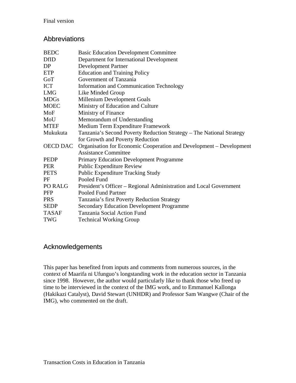#### Abbreviations

| <b>BEDC</b>     | <b>Basic Education Development Committee</b>                         |
|-----------------|----------------------------------------------------------------------|
| <b>DfID</b>     | Department for International Development                             |
| DP              | Development Partner                                                  |
| <b>ETP</b>      | <b>Education and Training Policy</b>                                 |
| GoT             | Government of Tanzania                                               |
| <b>ICT</b>      | <b>Information and Communication Technology</b>                      |
| <b>LMG</b>      | Like Minded Group                                                    |
| <b>MDGs</b>     | Millenium Development Goals                                          |
| <b>MOEC</b>     | Ministry of Education and Culture                                    |
| MoF             | Ministry of Finance                                                  |
| MoU             | Memorandum of Understanding                                          |
| <b>MTEF</b>     | Medium Term Expenditure Framework                                    |
| Mukukuta        | Tanzania's Second Poverty Reduction Strategy - The National Strategy |
|                 | for Growth and Poverty Reduction                                     |
| <b>OECD DAC</b> | Organisation for Economic Cooperation and Development – Development  |
|                 | <b>Assistance Committee</b>                                          |
| PEDP            | <b>Primary Education Development Programme</b>                       |
| <b>PER</b>      | <b>Public Expenditure Review</b>                                     |
| <b>PETS</b>     | <b>Public Expenditure Tracking Study</b>                             |
| PF              | Pooled Fund                                                          |
| PO RALG         | President's Officer – Regional Administration and Local Government   |
| <b>PFP</b>      | <b>Pooled Fund Partner</b>                                           |
| <b>PRS</b>      | Tanzania's first Poverty Reduction Strategy                          |
| <b>SEDP</b>     | <b>Secondary Education Development Programme</b>                     |
| <b>TASAF</b>    | Tanzania Social Action Fund                                          |
| <b>TWG</b>      | <b>Technical Working Group</b>                                       |

#### Acknowledgements

This paper has benefited from inputs and comments from numerous sources, in the context of Maarifa ni Ufunguo's longstanding work in the education sector in Tanzania since 1998. However, the author would particularly like to thank those who freed up time to be interviewed in the context of the IMG work, and to Emmanuel Kallonga (Hakikazi Catalyst), David Stewart (UNHDR) and Professor Sam Wangwe (Chair of the IMG), who commented on the draft.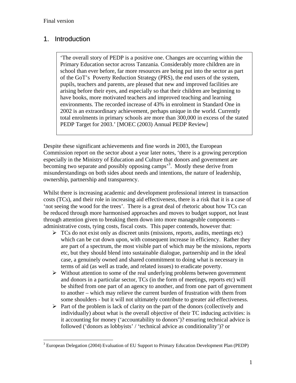$\overline{a}$ 

## 1. Introduction

'The overall story of PEDP is a positive one. Changes are occurring within the Primary Education sector across Tanzania. Considerably more children are in school than ever before, far more resources are being put into the sector as part of the GoT's Poverty Reduction Strategy (PRS), the end users of the system, pupils, teachers and parents, are pleased that new and improved facilities are arising before their eyes, and especially so that their children are beginning to have books, more motivated teachers and improved teaching and learning environments. The recorded increase of 43% in enrolment in Standard One in 2002 is an extraordinary achievement, perhaps unique in the world. Currently total enrolments in primary schools are more than 300,000 in excess of the stated PEDP Target for 2003.' [MOEC (2003) Annual PEDP Review]

Despite these significant achievements and fine words in 2003, the European Commission report on the sector about a year later notes, 'there is a growing perception especially in the Ministry of Education and Culture that donors and government are becoming two separate and possibly opposing camps<sup>3</sup>. Mostly these derive from misunderstandings on both sides about needs and intentions, the nature of leadership, ownership, partnership and transparency.

Whilst there is increasing academic and development professional interest in transaction costs (TCs), and their role in increasing aid effectiveness, there is a risk that it is a case of 'not seeing the wood for the trees'. There is a great deal of rhetoric about how TCs can be reduced through more harmonised approaches and moves to budget support, not least through attention given to breaking them down into more manageable components – administrative costs, tying costs, fiscal costs. This paper contends, however that:

- $\triangleright$  TCs do not exist only as discreet units (missions, reports, audits, meetings etc) which can be cut down upon, with consequent increase in efficiency. Rather they are part of a spectrum, the most visible part of which may be the missions, reports etc, but they should blend into sustainable dialogue, partnership and in the ideal case, a genuinely owned and shared commitment to doing what is necessary in terms of aid (as well as trade, and related issues) to eradicate poverty.
- $\triangleright$  Without attention to some of the real underlying problems between government and donors in a particular sector, TCs (in the form of meetings, reports etc) will be shifted from one part of an agency to another, and from one part of government to another – which may relieve the current burden of frustration with them from some shoulders - but it will not ultimately contribute to greater aid effectiveness.
- $\triangleright$  Part of the problem is lack of clarity on the part of the donors (collectively and individually) about what is the overall objective of their TC inducing activities: is it accounting for money ('accountability to donors')? ensuring technical advice is followed ('donors as lobbyists' / 'technical advice as conditionality')? or

 $3$  European Delegation (2004) Evaluation of EU Support to Primary Education Development Plan (PEDP)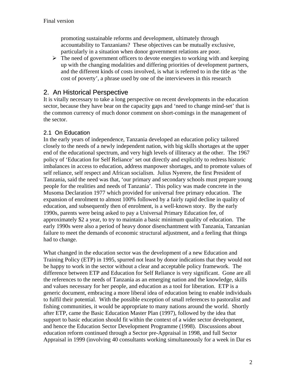promoting sustainable reforms and development, ultimately through accountability to Tanzanians? These objectives can be mutually exclusive, particularly in a situation when donor government relations are poor.

 $\triangleright$  The need of government officers to devote energies to working with and keeping up with the changing modalities and differing priorities of development partners, and the different kinds of costs involved, is what is referred to in the title as 'the cost of poverty', a phrase used by one of the interviewees in this research

### 2. An Historical Perspective

It is vitally necessary to take a long perspective on recent developments in the education sector, because they have bear on the capacity gaps and 'need to change mind-set' that is the common currency of much donor comment on short-comings in the management of the sector.

#### 2.1 On Education

In the early years of independence, Tanzania developed an education policy tailored closely to the needs of a newly independent nation, with big skills shortages at the upper end of the educational spectrum, and very high levels of illiteracy at the other. The 1967 policy of 'Education for Self Reliance' set out directly and explicitly to redress historic imbalances in access to education, address manpower shortages, and to promote values of self reliance, self respect and African socialism. Julius Nyerere, the first President of Tanzania, said the need was that, 'our primary and secondary schools must prepare young people for the realities and needs of Tanzania'. This policy was made concrete in the Musoma Declaration 1977 which provided for universal free primary education. The expansion of enrolment to almost 100% followed by a fairly rapid decline in quality of education, and subsequently then of enrolment, is a well-known story. By the early 1990s, parents were being asked to pay a Universal Primary Education fee, of approximately \$2 a year, to try to maintain a basic minimum quality of education. The early 1990s were also a period of heavy donor disenchantment with Tanzania, Tanzanian failure to meet the demands of economic structural adjustment, and a feeling that things had to change.

What changed in the education sector was the development of a new Education and Training Policy (ETP) in 1995, spurred not least by donor indications that they would not be happy to work in the sector without a clear and acceptable policy framework. The difference between ETP and Education for Self Reliance is very significant. Gone are all the references to the needs of Tanzania as an emerging nation and the knowledge, skills and values necessary for her people, and education as a tool for liberation. ETP is a generic document, embracing a more liberal idea of education being to enable individuals to fulfil their potential. With the possible exception of small references to pastoralist and fishing communities, it would be appropriate to many nations around the world. Shortly after ETP, came the Basic Education Master Plan (1997), followed by the idea that support to basic education should fit within the context of a wider sector development, and hence the Education Sector Development Programme (1998). Discussions about education reform continued through a Sector pre-Appraisal in 1998, and full Sector Appraisal in 1999 (involving 40 consultants working simultaneously for a week in Dar es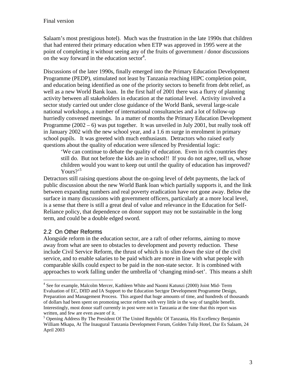Salaam's most prestigious hotel). Much was the frustration in the late 1990s that children that had entered their primary education when ETP was approved in 1995 were at the point of completing it without seeing any of the fruits of government / donor discussions on the way forward in the education sector<sup>4</sup>.

Discussions of the later 1990s, finally emerged into the Primary Education Development Programme (PEDP), stimulated not least by Tanzania reaching HIPC completion point, and education being identified as one of the priority sectors to benefit from debt relief, as well as a new World Bank loan. In the first half of 2001 there was a flurry of planning activity between all stakeholders in education at the national level. Activity involved a sector study carried out under close guidance of the World Bank, several large-scale national workshops, a number of international consultancies and a lot of follow-up hurriedly convened meetings. In a matter of months the Primary Education Development Programme  $(2002 - 6)$  was put together. It was unveiled in July 2001, but really took off in January 2002 with the new school year, and a 1.6 m surge in enrolment in primary school pupils. It was greeted with much enthusiasm. Detractors who raised early questions about the quality of education were silenced by Presidential logic:

'We can continue to debate the quality of education. Even in rich countries they still do. But not before the kids are in school!! If you do not agree, tell us, whose children would you want to keep out until the quality of education has improved? Yours? $15$ 

Detractors still raising questions about the on-going level of debt payments, the lack of public discussion about the new World Bank loan which partially supports it, and the link between expanding numbers and real poverty eradication have not gone away. Below the surface in many discussions with government officers, particularly at a more local level, is a sense that there is still a great deal of value and relevance in the Education for Self-Reliance policy, that dependence on donor support may not be sustainable in the long term, and could be a double edged sword.

#### 2.2 On Other Reforms

 $\overline{a}$ 

Alongside reform in the education sector, are a raft of other reforms, aiming to move away from what are seen to obstacles to development and poverty reduction. These include Civil Service Reform, the thrust of which is to slim down the size of the civil service, and to enable salaries to be paid which are more in line with what people with comparable skills could expect to be paid in the non-state sector. It is combined with approaches to work falling under the umbrella of 'changing mind-set'. This means a shift

<sup>&</sup>lt;sup>4</sup> See for example, Malcolm Mercer, Kathleen White and Naomi Katunzi (2000) Joint Mid-Term Evaluation of EC, DfID and IA Support to the Education Sectgor Development Programme Design, Preparation and Management Process. This argued that huge amounts of time, and hundreds of thousands of dollars had been spent on promoting sector reform with very little in the way of tangible benefit. Interestingly, most donor staff currently in post were not in Tanzania at the time that this report was written, and few are even aware of it.

<sup>&</sup>lt;sup>5</sup> Opening Address By The President Of The United Republic Of Tanzania, His Excellency Benjamin William Mkapa, At The Inaugural Tanzania Development Forum, Golden Tulip Hotel, Dar Es Salaam, 24 April 2003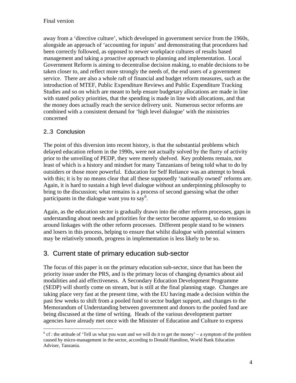away from a 'directive culture', which developed in government service from the 1960s, alongside an approach of 'accounting for inputs' and demonstrating that procedures had been correctly followed, as opposed to newer workplace cultures of results based management and taking a proactive approach to planning and implementation. Local Government Reform is aiming to decentralise decision making, to enable decisions to be taken closer to, and reflect more strongly the needs of, the end users of a government service. There are also a whole raft of financial and budget reform measures, such as the introduction of MTEF, Public Expenditure Reviews and Public Expenditure Tracking Studies and so on which are meant to help ensure budgetary allocations are made in line with stated policy priorities, that the spending is made in line with allocations, and that the money does actually reach the service delivery unit. Numerous sector reforms are combined with a consistent demand for 'high level dialogue' with the ministries concerned

#### 2..3 Conclusion

 $\overline{a}$ 

The point of this diversion into recent history, is that the substantial problems which delayed education reform in the 1990s, were not actually solved by the flurry of activity prior to the unveiling of PEDP, they were merely shelved. Key problems remain, not least of which is a history and mindset for many Tanzanians of being told what to do by outsiders or those more powerful. Education for Self Reliance was an attempt to break with this; it is by no means clear that all these supposedly 'nationally owned' reforms are. Again, it is hard to sustain a high level dialogue without an underpinning philosophy to bring to the discussion; what remains is a process of second guessing what the other participants in the dialogue want you to say<sup>6</sup>.

Again, as the education sector is gradually drawn into the other reform processes, gaps in understanding about needs and priorities for the sector become apparent, so do tensions around linkages with the other reform processes. Different people stand to be winners and losers in this process, helping to ensure that whilst dialogue with potential winners may be relatively smooth, progress in implementation is less likely to be so.

## 3. Current state of primary education sub-sector

The focus of this paper is on the primary education sub-sector, since that has been the priority issue under the PRS, and is the primary locus of changing dynamics about aid modalities and aid effectiveness. A Secondary Education Development Programme (SEDP) will shortly come on stream, but is still at the final planning stage. Changes are taking place very fast at the present time, with the EU having made a decision within the past few weeks to shift from a pooled fund to sector budget support, and changes to the Memorandum of Understanding between government and donors to the pooled fund are being discussed at the time of writing. Heads of the various development partner agencies have already met once with the Minister of Education and Culture to express

 $6$  cf : the attitude of 'Tell us what you want and we will do it to get the money' – a symptom of the problem caused by micro-management in the sector, according to Donald Hamilton, World Bank Education Adviser, Tanzania.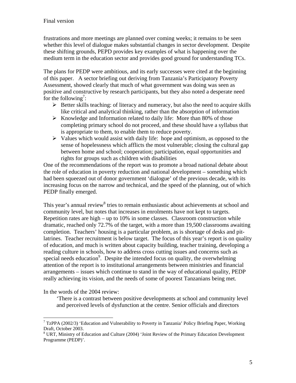frustrations and more meetings are planned over coming weeks; it remains to be seen whether this level of dialogue makes substantial changes in sector development. Despite these shifting grounds, PEPD provides key examples of what is happening over the medium term in the education sector and provides good ground for understanding TCs.

The plans for PEDP were ambitious, and its early successes were cited at the beginning of this paper. A sector briefing out deriving from Tanzania's Participatory Poverty Assessment, showed clearly that much of what government was doing was seen as positive and constructive by research participants, but they also noted a desperate need for the following<sup>7</sup>:

- $\triangleright$  Better skills teaching: of literacy and numeracy, but also the need to acquire skills like critical and analytical thinking, rather than the absorption of information
- $\triangleright$  Knowledge and Information related to daily life: More than 80% of those completing primary school do not proceed, and these should have a syllabus that is appropriate to them, to enable them to reduce poverty.
- $\triangleright$  Values which would assist with daily life: hope and optimism, as opposed to the sense of hopelessness which afflicts the most vulnerable; closing the cultural gap between home and school; cooperation; participation, equal opportunities and rights for groups such as children with disabilities

One of the recommendations of the report was to promote a broad national debate about the role of education in poverty reduction and national development – something which had been squeezed out of donor government 'dialogue' of the previous decade, with its increasing focus on the narrow and technical, and the speed of the planning, out of which PEDP finally emerged.

This year's annual review<sup>8</sup> tries to remain enthusiastic about achievements at school and community level, but notes that increases in enrolments have not kept to targets. Repetition rates are high – up to 10% in some classes. Classroom construction while dramatic, reached only 72.7% of the target, with a more than 19,500 classrooms awaiting completion. Teachers' housing is a particular problem, as is shortage of desks and pitlatrines. Teacher recruitment is below target. The focus of this year's report is on quality of education, and much is written about capacity building, teacher training, developing a reading culture in schools, how to address cross cutting issues and concerns such as special needs education<sup>9</sup>. Despite the intended focus on quality, the overwhelming attention of the report is to institutional arrangements between ministries and financial arrangements – issues which continue to stand in the way of educational quality, PEDP really achieving its vision, and the needs of some of poorest Tanzanians being met.

In the words of the 2004 review:

 $\overline{a}$ 

'There is a contrast between positive developments at school and community level and perceived levels of dysfunction at the centre. Senior officials and directors

<sup>&</sup>lt;sup>7</sup> TzPPA (2002/3) 'Education and Vulnerability to Poverty in Tanzania' Policy Briefing Paper, Working Draft, October 2003.

<sup>&</sup>lt;sup>8</sup> URT, Ministry of Education and Culture (2004) 'Joint Review of the Primary Education Development Programme (PEDP)'.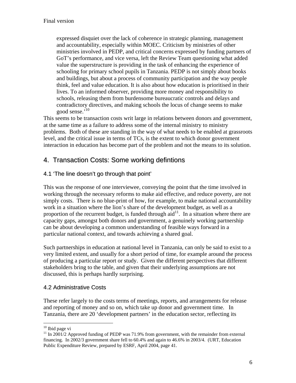expressed disquiet over the lack of coherence in strategic planning, management and accountability, especially within MOEC. Criticism by ministries of other ministries involved in PEDP, and critical concerns expressed by funding partners of GoT's performance, and vice versa, left the Review Team questioning what added value the superstructure is providing in the task of enhancing the experience of schooling for primary school pupils in Tanzania. PEDP is not simply about books and buildings, but about a process of community participation and the way people think, feel and value education. It is also about how education is prioritised in their lives. To an informed observer, providing more money and responsibility to schools, releasing them from burdensome bureaucratic controls and delays and contradictory directives, and making schools the locus of change seems to make good sense.'<sup>10</sup>

This seems to be transaction costs writ large in relations between donors and government, at the same time as a failure to address some of the internal ministry to ministry problems. Both of these are standing in the way of what needs to be enabled at grassroots level, and the critical issue in terms of TCs, is the extent to which donor government interaction in education has become part of the problem and not the means to its solution.

## 4. Transaction Costs: Some working defintions

#### 4.1 'The line doesn't go through that point'

This was the response of one interviewee, conveying the point that the time involved in working through the necessary reforms to make aid effective, and reduce poverty, are not simply costs. There is no blue-print of how, for example, to make national accountability work in a situation where the lion's share of the development budget, as well as a proportion of the recurrent budget, is funded through  $\text{aid}^{11}$ . In a situation where there are capacity gaps, amongst both donors and government, a genuinely working partnership can be about developing a common understanding of feasible ways forward in a particular national context, and towards achieving a shared goal.

Such partnerships in education at national level in Tanzania, can only be said to exist to a very limited extent, and usually for a short period of time, for example around the process of producing a particular report or study. Given the different perspectives that different stakeholders bring to the table, and given that their underlying assumptions are not discussed, this is perhaps hardly surprising.

#### 4.2 Administrative Costs

These refer largely to the costs terms of meetings, reports, and arrangements for release and reporting of money and so on, which take up donor and government time. In Tanzania, there are 20 'development partners' in the education sector, reflecting its

<u>.</u>

 $10$  Ibid page vi

 $11$  In 2001/2 Approved funding of PEDP was 71.9% from government, with the remainder from external financing. In 2002/3 government share fell to 60.4% and again to 46.6% in 2003/4. (URT, Education Public Expenditure Review, prepared by ESRF, April 2004, page 41.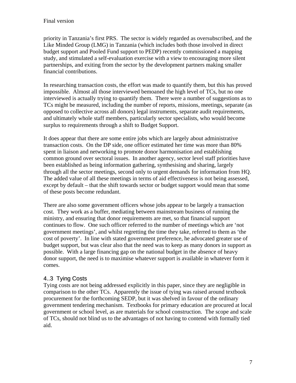priority in Tanzania's first PRS. The sector is widely regarded as oversubscribed, and the Like Minded Group (LMG) in Tanzania (which includes both those involved in direct budget support and Pooled Fund support to PEDP) recently commissioned a mapping study, and stimulated a self-evaluation exercise with a view to encouraging more silent partnerships, and exiting from the sector by the development partners making smaller financial contributions.

In researching transaction costs, the effort was made to quantify them, but this has proved impossible. Almost all those interviewed bemoaned the high level of TCs, but no one interviewed is actually trying to quantify them. There were a number of suggestions as to TCs might be measured, including the number of reports, missions, meetings, separate (as opposed to collective across all donors) legal instruments, separate audit requirements, and ultimately whole staff members, particularly sector specialists, who would become surplus to requirements through a shift to Budget Support.

It does appear that there are some entire jobs which are largely about administrative transaction costs. On the DP side, one officer estimated her time was more than 80% spent in liaison and networking to promote donor harmonisation and establishing common ground over sectoral issues. In another agency, sector level staff priorities have been established as being information gathering, synthesising and sharing, largely through all the sector meetings, second only to urgent demands for information from HQ. The added value of all these meetings in terms of aid effectiveness is not being assessed, except by default – that the shift towards sector or budget support would mean that some of these posts become redundant.

There are also some government officers whose jobs appear to be largely a transaction cost. They work as a buffer, mediating between mainstream business of running the ministry, and ensuring that donor requirements are met, so that financial support continues to flow. One such officer referred to the number of meetings which are 'not government meetings', and whilst regretting the time they take, referred to them as 'the cost of poverty'. In line with stated government preference, he advocated greater use of budget support, but was clear also that the need was to keep as many donors in support as possible. With a large financing gap on the national budget in the absence of heavy donor support, the need is to maximise whatever support is available in whatever form it comes.

#### 4..3 Tying Costs

Tying costs are not being addressed explicitly in this paper, since they are negligible in comparison to the other TCs. Apparently the issue of tying was raised around textbook procurement for the forthcoming SEDP, but it was shelved in favour of the ordinary government tendering mechanism. Textbooks for primary education are procured at local government or school level, as are materials for school construction. The scope and scale of TCs, should not blind us to the advantages of not having to contend with formally tied aid.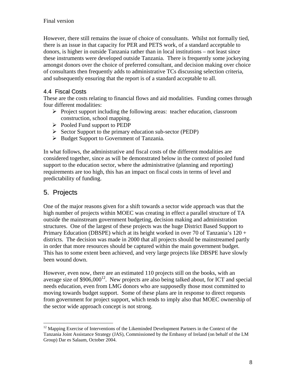However, there still remains the issue of choice of consultants. Whilst not formally tied, there is an issue in that capacity for PER and PETS work, of a standard acceptable to donors, is higher in outside Tanzania rather than in local institutions – not least since these instruments were developed outside Tanzania. There is frequently some jockeying amongst donors over the choice of preferred consultant, and decision making over choice of consultants then frequently adds to administrative TCs discussing selection criteria, and subsequently ensuring that the report is of a standard acceptable to all.

#### 4.4 Fiscal Costs

These are the costs relating to financial flows and aid modalities. Funding comes through four different modalities:

- ¾ Project support including the following areas: teacher education, classroom construction, school mapping.
- $\triangleright$  Pooled Fund support to PEDP
- $\triangleright$  Sector Support to the primary education sub-sector (PEDP)
- ¾ Budget Support to Government of Tanzania.

In what follows, the administrative and fiscal costs of the different modalities are considered together, since as will be demonstrated below in the context of pooled fund support to the education sector, where the administrative (planning and reporting) requirements are too high, this has an impact on fiscal costs in terms of level and predictability of funding.

## 5. Projects

<u>.</u>

One of the major reasons given for a shift towards a sector wide approach was that the high number of projects within MOEC was creating in effect a parallel structure of TA outside the mainstream government budgeting, decision making and administration structures. One of the largest of these projects was the huge District Based Support to Primary Education (DBSPE) which at its height worked in over 70 of Tanzania's 120 + districts. The decision was made in 2000 that all projects should be mainstreamed partly in order that more resources should be captured within the main government budget. This has to some extent been achieved, and very large projects like DBSPE have slowly been wound down.

However, even now, there are an estimated 110 projects still on the books, with an average size of  $$906,000^{12}$ . New projects are also being talked about, for ICT and special needs education, even from LMG donors who are supposedly those most committed to moving towards budget support. Some of these plans are in response to direct requests from government for project support, which tends to imply also that MOEC ownership of the sector wide approach concept is not strong.

 $12$  Mapping Exercise of Interventions of the Likeminded Development Partners in the Context of the Tanzania Joint Assistance Strategy (JAS), Commissioned by the Embassy of Ireland (on behalf of the LM Group) Dar es Salaam, October 2004.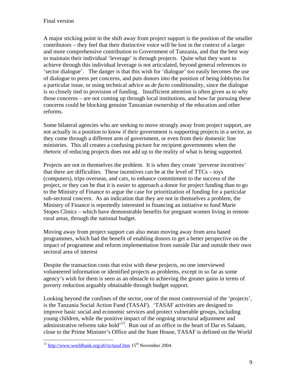A major sticking point in the shift away from project support is the position of the smaller contributors – they feel that their distinctive voice will be lost in the context of a larger and more comprehensive contribution to Government of Tanzania, and that the best way to maintain their individual 'leverage' is through projects. Quite what they want to achieve through this individual leverage is not articulated, beyond general references to 'sector dialogue'. The danger is that this wish for 'dialogue' too easily becomes the use of dialogue to press pet concerns, and puts donors into the position of being lobbyists for a particular issue, or using technical advice as *de facto* conditionality, since the dialogue is so closely tied to provision of funding. Insufficient attention is often given as to why those concerns – are not coming up through local institutions, and how far pursuing these concerns could be blocking genuine Tanzanian ownership of the education and other reforms.

Some bilateral agencies who are seeking to move strongly away from project support, are not actually in a position to know if their government is supporting projects in a sector, as they come through a different arm of government, or even from their domestic line ministries. This all creates a confusing picture for recipient governments when the rhetoric of reducing projects does not add up to the reality of what is being supported.

Projects are not in themselves the problem. It is when they create 'perverse incentives' that there are difficulties. These incentives can be at the level of TTCs – toys (computers), trips overseas, and cars, to enhance commitment to the success of the project, or they can be that it is easier to approach a donor for project funding than to go to the Ministry of Finance to argue the case for prioritization of funding for a particular sub-sectoral concern. As an indication that they are not in themselves a problem, the Ministry of Finance is reportedly interested in financing an initiative to fund Marie Stopes Clinics – which have demonstrable benefits for pregnant women living in remote rural areas, through the national budget.

Moving away from project support can also mean moving away from area based programmes, which had the benefit of enabling donors to get a better perspective on the impact of programme and reform implementation from outside Dar and outside their own sectoral area of interest

Despite the transaction costs that exist with these projects, no one interviewed volunteered information or identified projects as problems, except in so far as some agency's wish for them is seen as an obstacle to achieving the greater gains in terms of poverty reduction arguably obtainable through budget support.

Looking beyond the confines of the sector, one of the most controversial of the 'projects', is the Tanzania Social Action Fund (TASAF). 'TASAF activities are designed to improve basic social and economic services and protect vulnerable groups, including young children, while the positive impact of the ongoing structural adjustment and administrative reforms take hold<sup> $13$ </sup>. Run out of an office in the heart of Dar es Salaam, close to the Prime Minister's Office and the State House, TASAF is defined on the World

<u>.</u>

 $^{13}$  http://www.worldbank.org/afr/tz/tasaf.htm 15<sup>th</sup> November 2004.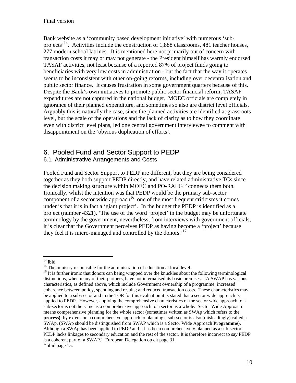Bank website as a 'community based development initiative' with numerous 'subprojects<sup>'14</sup>. Activities include the construction of 1,888 classrooms, 481 teacher houses, 277 modern school latrines. It is mentioned here not primarily out of concern with transaction costs it may or may not generate - the President himself has warmly endorsed TASAF activities, not least because of a reported 87% of project funds going to beneficiaries with very low costs in administration - but the fact that the way it operates seems to be inconsistent with other on-going reforms, including over decentralisation and public sector finance. It causes frustration in some government quarters because of this. Despite the Bank's own initiatives to promote public sector financial reform, TASAF expenditures are not captured in the national budget. MOEC officials are completely in ignorance of their planned expenditure, and sometimes so also are district level officials. Arguably this is naturally the case, since the planned activities are identified at grassroots level, but the scale of the operations and the lack of clarity as to how they coordinate even with district level plans, led one central government interviewee to comment with disappointment on the 'obvious duplication of efforts'.

## 6. Pooled Fund and Sector Support to PEDP

#### 6.1 Administrative Arrangements and Costs

Pooled Fund and Sector Support to PEDP are different, but they are being considered together as they both support PEDP directly, and have related administrative TCs since the decision making structure within MOEC and PO-RAL $G<sup>15</sup>$  connects them both. Ironically, whilst the intention was that PEDP would be the primary sub-sector component of a sector wide approach<sup>16</sup>, one of the most frequent criticisms it comes under is that it is in fact a 'giant project'. In the budget the PEDP is identified as a project (number 4321). 'The use of the word 'project' in the budget may be unfortunate terminology by the government, nevertheless, from interviews with government officials, it is clear that the Government perceives PEDP as having become a 'project' because they feel it is micro-managed and controlled by the donors.<sup>'17</sup>

 $\overline{a}$  $14$  ibid

<sup>&</sup>lt;sup>15</sup> The ministry responsible for the administration of education at local level.

<sup>&</sup>lt;sup>16</sup> It is further ironic that donors can being wrapped over the knuckles about the following terminological distinctions, when many of their partners, have not internalised its basic premises: 'A SWAP has various characteristics, as defined above, which include Government ownership of a programme; increased coherence between policy, spending and results; and reduced transaction costs. These characteristics may be applied to a sub-sector and in the TOR for this evaluation it is stated that a sector wide approach is applied to PEDP. However, applying the comprehensive characteristics of the sector wide approach to a sub-sector is not the same as a comprehensive approach to a sector as a whole. Sector Wide Approach means comprehensive planning for the whole sector (sometimes written as SWAp which refers to the **process**); by extension a comprehensive approach to planning a sub-sector is also (misleadingly) called a SWAp. (SWAp should be distinguished from SWAP which is a Sector Wide Approach **Programme**). Although a SWAp has been applied to PEDP and it has been comprehensively planned as a sub-sector, PEDP lacks linkages to secondary education and the rest of the sector. It is therefore incorrect to say PEDP is a coherent part of a SWAP.' European Delegation op cit page 31  $17$  ibid page 15.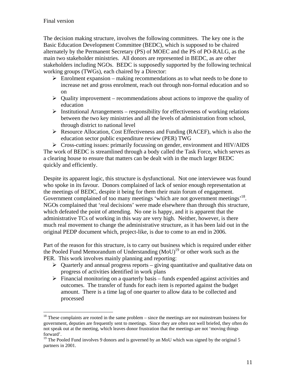$\overline{a}$ 

The decision making structure, involves the following committees. The key one is the Basic Education Development Committee (BEDC), which is supposed to be chaired alternately by the Permanent Secretary (PS) of MOEC and the PS of PO-RALG, as the main two stakeholder ministries. All donors are represented in BEDC, as are other stakeholders including NGOs. BEDC is supposedly supported by the following technical working groups (TWGs), each chaired by a Director:

- $\triangleright$  Enrolment expansion making recommendations as to what needs to be done to increase net and gross enrolment, reach out through non-formal education and so on
- $\triangleright$  Quality improvement recommendations about actions to improve the quality of education
- $\triangleright$  Institutional Arrangements responsibility for effectiveness of working relations between the two key ministries and all the levels of administration from school, through district to national level
- $\triangleright$  Resource Allocation, Cost Effectiveness and Funding (RACEF), which is also the education sector public expenditure review (PER) TWG

 $\triangleright$  Cross-cutting issues: primarily focussing on gender, environment and HIV/AIDS The work of BEDC is streamlined through a body called the Task Force, which serves as a clearing house to ensure that matters can be dealt with in the much larger BEDC quickly and efficiently.

Despite its apparent logic, this structure is dysfunctional. Not one interviewee was found who spoke in its favour. Donors complained of lack of senior enough representation at the meetings of BEDC, despite it being for them their main forum of engagement. Government complained of too many meetings 'which are not government meetings'<sup>18</sup>. NGOs complained that 'real decisions' were made elsewhere than through this structure, which defeated the point of attending. No one is happy, and it is apparent that the administrative TCs of working in this way are very high. Neither, however, is there much real movement to change the administrative structure, as it has been laid out in the original PEDP document which, project-like, is due to come to an end in 2006.

Part of the reason for this structure, is to carry out business which is required under either the Pooled Fund Memorandum of Understanding  $(MoU)^{19}$  or other work such as the PER. This work involves mainly planning and reporting:

- $\triangleright$  Quarterly and annual progress reports giving quantitative and qualitative data on progress of activities identified in work plans
- $\triangleright$  Financial monitoring on a quarterly basis funds expended against activities and outcomes. The transfer of funds for each item is reported against the budget amount. There is a time lag of one quarter to allow data to be collected and processed

 $18$ <sup>18</sup> These complaints are rooted in the same problem – since the meetings are not mainstream business for government, deputies are frequently sent to meetings. Since they are often not well briefed, they often do not speak out at the meeting, which leaves donor frustration that the meetings are not 'moving things forward'.

<sup>&</sup>lt;sup>19</sup> The Pooled Fund involves 9 donors and is governed by an MoU which was signed by the original 5 partners in 2001.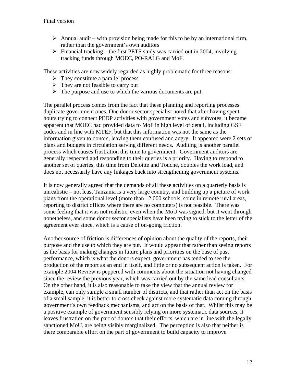- $\triangleright$  Annual audit with provision being made for this to be by an international firm, rather than the government's own auditors
- $\triangleright$  Financial tracking the first PETS study was carried out in 2004, involving tracking funds through MOEC, PO-RALG and MoF.

These activities are now widely regarded as highly problematic for three reasons:

- $\triangleright$  They constitute a parallel process
- $\triangleright$  They are not feasible to carry out
- $\triangleright$  The purpose and use to which the various documents are put.

The parallel process comes from the fact that these planning and reporting processes duplicate government ones. One donor sector specialist noted that after having spent hours trying to connect PEDP activities with government votes and subvotes, it became apparent that MOEC had provided data to MoF in high level of detail, including GSF codes and in line with MTEF, but that this information was not the same as the information given to donors, leaving them confused and angry. It appeared were 2 sets of plans and budgets in circulation serving different needs. Auditing is another parallel process which causes frustration this time to government. Government auditors are generally respected and responding to their queries is a priority. Having to respond to another set of queries, this time from Deloitte and Touche, doubles the work load, and does not necessarily have any linkages back into strengthening government systems.

It is now generally agreed that the demands of all these activities on a quarterly basis is unrealistic – not least Tanzania is a very large country, and building up a picture of work plans from the operational level (more than 12,000 schools, some in remote rural areas, reporting to district offices where there are no computers) is not feasible. There was some feeling that it was not realistic, even when the MoU was signed, but it went through nonetheless, and some donor sector specialists have been trying to stick to the letter of the agreement ever since, which is a cause of on-going friction.

Another source of friction is differences of opinion about the quality of the reports, their purpose and the use to which they are put. It would appear that rather than seeing reports as the basis for making changes in future plans and priorities on the base of past performance, which is what the donors expect, government has tended to see the production of the report as an end in itself, and little or no subsequent action is taken. For example 2004 Review is peppered with comments about the situation not having changed since the review the previous year, which was carried out by the same lead consultants. On the other hand, it is also reasonable to take the view that the annual review for example, can only sample a small number of districts, and that rather than act on the basis of a small sample, it is better to cross check against more systematic data coming through government's own feedback mechanisms, and act on the basis of that. Whilst this may be a positive example of government sensibly relying on more systematic data sources, it leaves frustration on the part of donors that their efforts, which are in line with the legally sanctioned MoU, are being visibly marginalized. The perception is also that neither is there comparable effort on the part of government to build capacity to improve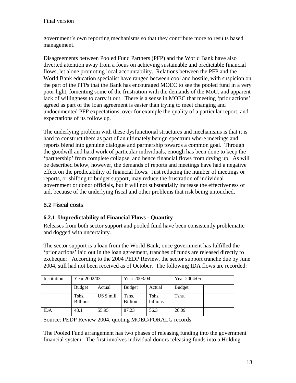government's own reporting mechanisms so that they contribute more to results based management.

Disagreements between Pooled Fund Partners (PFP) and the World Bank have also diverted attention away from a focus on achieving sustainable and predictable financial flows, let alone promoting local accountability. Relations between the PFP and the World Bank education specialist have ranged between cool and hostile, with suspicion on the part of the PFPs that the Bank has encouraged MOEC to see the pooled fund in a very poor light, fomenting some of the frustration with the demands of the MoU, and apparent lack of willingness to carry it out. There is a sense in MOEC that meeting 'prior actions' agreed as part of the loan agreement is easier than trying to meet changing and undocumented PFP expectations, over for example the quality of a particular report, and expectations of its follow up.

The underlying problem with these dysfunctional structures and mechanisms is that it is hard to construct them as part of an ultimately benign spectrum where meetings and reports blend into genuine dialogue and partnership towards a common goal. Through the goodwill and hard work of particular individuals, enough has been done to keep the 'partnership' from complete collapse, and hence financial flows from drying up. As will be described below, however, the demands of reports and meetings have had a negative effect on the predictability of financial flows. Just reducing the number of meetings or reports, or shifting to budget support, may reduce the frustration of individual government or donor officials, but it will not substantially increase the effectiveness of aid, because of the underlying fiscal and other problems that risk being untouched.

#### 6.2 Fiscal costs

#### **6.2.1 Unpredictability of Financial Flows - Quantity**

Releases from both sector support and pooled fund have been consistently problematic and dogged with uncertainty.

The sector support is a loan from the World Bank; once government has fulfilled the 'prior actions' laid out in the loan agreement, tranches of funds are released directly to exchequer. According to the 2004 PEDP Review, the sector support tranche due by June 2004, still had not been received as of October. The following IDA flows are recorded:

| Institution | Year 2002/03             |              | Year 2003/04            |                   | Year 2004/05  |  |
|-------------|--------------------------|--------------|-------------------------|-------------------|---------------|--|
|             | <b>Budget</b>            | Actual       | <b>Budget</b>           | Actual            | <b>Budget</b> |  |
|             | Tshs.<br><b>Billions</b> | $US $$ mill. | Tshs.<br><b>Billion</b> | Tshs.<br>billions | Tshs.         |  |
| <b>IDA</b>  | 48.1                     | 55.95        | 87.23                   | 56.3              | 26.09         |  |

Source: PEDP Review 2004, quoting MOEC/PORALG records

The Pooled Fund arrangement has two phases of releasing funding into the government financial system. The first involves individual donors releasing funds into a Holding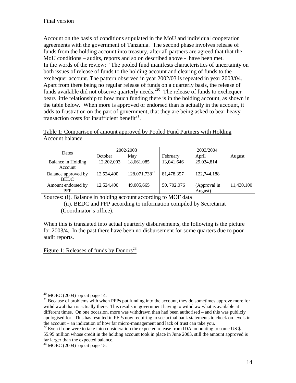Account on the basis of conditions stipulated in the MoU and individual cooperation agreements with the government of Tanzania. The second phase involves release of funds from the holding account into treasury, after all partners are agreed that that the MoU conditions – audits, reports and so on described above - have been met. In the words of the review: 'The pooled fund manifests characteristics of uncertainty on both issues of release of funds to the holding account and clearing of funds to the exchequer account. The pattern observed in year 2002/03 is repeated in year 2003/04. Apart from there being no regular release of funds on a quarterly basis, the release of funds available did not observe quarterly needs.'20 The release of funds to exchequer bears little relationship to how much funding there is in the holding account, as shown in the table below. When more is approved or endorsed than is actually in the account, it adds to frustration on the part of government, that they are being asked to bear heavy transaction costs for insufficient benefit $^{21}$ .

Table 1: Comparison of amount approved by Pooled Fund Partners with Holding Account balance

| Dates                              | 2002/2003  |                           | 2003/2004    |                         |            |  |
|------------------------------------|------------|---------------------------|--------------|-------------------------|------------|--|
|                                    | October    | May                       | February     | April                   | August     |  |
| Balance in Holding<br>Account      | 12,202,003 | 18,661,085                | 13,041,646   | 29,034,814              |            |  |
| Balance approved by<br><b>BEDC</b> | 12,524,400 | 128,071,738 <sup>22</sup> | 81,478,357   | 122,744,188             |            |  |
| Amount endorsed by<br><b>PFP</b>   | 12,524,400 | 49,005,665                | 50, 702, 076 | (Approval in<br>August) | 11,430,100 |  |

Sources: (i). Balance in holding account according to MOF data

 (ii). BEDC and PFP according to information compiled by Secretariat (Coordinator's office).

When this is translated into actual quarterly disbursements, the following is the picture for 2003/4. In the past there have been no disbursement for some quarters due to poor audit reports.

Figure 1: Releases of funds by Donors<sup>23</sup>

 $\overline{a}$  $20$  MOEC (2004) op cit page 14.

<sup>&</sup>lt;sup>21</sup> Because of problems with when PFPs put funding into the account, they do sometimes approve more for withdrawal than is actually there. This results in government having to withdraw what is available at different times. On one occasion, more was withdrawn than had been authorised – and this was publicly apologised for. This has resulted in PFPs now requiring to see actual bank statements to check on levels in the account – an indication of how far micro-management and lack of trust can take you.

 $22$  Even if one were to take into consideration the expected release from IDA amounting to some US \$ 55.95 million whose credit in the holding account took in place in June 2003, still the amount approved is far larger than the expected balance.

 $23$  MOEC (2004) op cit page 15.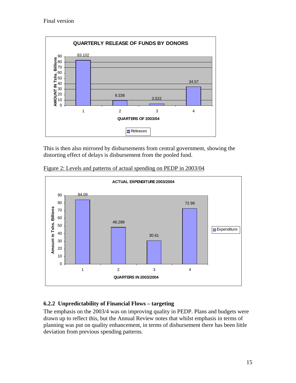

This is then also mirrored by disbursements from central government, showing the distorting effect of delays is disbursement from the pooled fund.



Figure 2: Levels and patterns of actual spending on PEDP in 2003/04

#### **6.2.2 Unpredictability of Financial Flows – targeting**

The emphasis on the 2003/4 was on improving quality in PEDP. Plans and budgets were drawn up to reflect this, but the Annual Review notes that whilst emphasis in terms of planning was put on quality enhancement, in terms of disbursement there has been little deviation from previous spending patterns.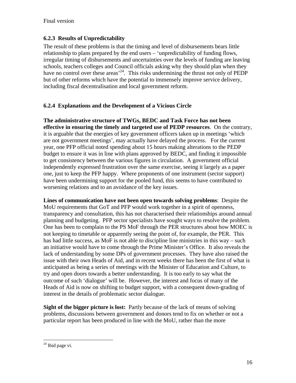#### **6.2.3 Results of Unpredictability**

The result of these problems is that the timing and level of disbursements bears little relationship to plans prepared by the end users – 'unpredictability of funding flows, irregular timing of disbursements and uncertainties over the levels of funding are leaving schools, teachers colleges and Council officials asking why they should plan when they have no control over these areas<sup>24</sup>. This risks undermining the thrust not only of PEDP but of other reforms which have the potential to immensely improve service delivery, including fiscal decentralisation and local government reform.

#### **6.2.4 Explanations and the Development of a Vicious Circle**

**The administrative structure of TWGs, BEDC and Task Force has not been effective in ensuring the timely and targeted use of PEDP resources**. On the contrary, it is arguable that the energies of key government officers taken up in meetings 'which are not government meetings', may actually have delayed the process. For the current year, one PFP official noted spending about 15 hours making alterations to the PEDP budget to ensure it was in line with plans approved by BEDC, and finding it impossible to get consistency between the various figures in circulation. A government official independently expressed frustration over the same exercise, seeing it largely as a paper one, just to keep the PFP happy. Where proponents of one instrument (sector support) have been undermining support for the pooled fund, this seems to have contributed to worsening relations and to an avoidance of the key issues.

**Lines of communication have not been open towards solving problems**: Despite the MoU requirements that GoT and PFP would work together in a spirit of openness, transparency and consultation, this has not characterised their relationships around annual planning and budgeting. PFP sector specialists have sought ways to resolve the problem. One has been to complain to the PS MoF through the PER structures about how MOEC is not keeping to timetable or apparently seeing the point of, for example, the PER. This has had little success, as MoF is not able to discipline line ministries in this way – such an initiative would have to come through the Prime Minister's Office. It also reveals the lack of understanding by some DPs of government processes. They have also raised the issue with their own Heads of Aid, and in recent weeks there has been the first of what is anticipated as being a series of meetings with the Minister of Education and Culture, to try and open doors towards a better understanding. It is too early to say what the outcome of such 'dialogue' will be. However, the interest and focus of many of the Heads of Aid is now on shifting to budget support, with a consequent down-grading of interest in the details of problematic sector dialogue.

**Sight of the bigger picture is lost:** Partly because of the lack of means of solving problems, discussions between government and donors tend to fix on whether or not a particular report has been produced in line with the MoU, rather than the more

 $\overline{a}$ 

 $24$  Ibid page vi.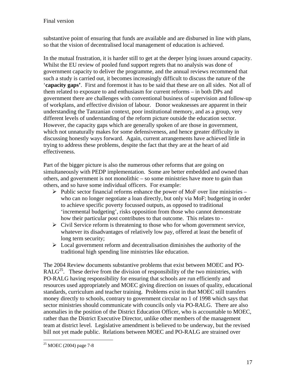substantive point of ensuring that funds are available and are disbursed in line with plans, so that the vision of decentralised local management of education is achieved.

In the mutual frustration, it is harder still to get at the deeper lying issues around capacity. Whilst the EU review of pooled fund support regrets that no analysis was done of government capacity to deliver the programme, and the annual reviews recommend that such a study is carried out, it becomes increasingly difficult to discuss the nature of the '**capacity gaps'**. First and foremost it has to be said that these are on all sides. Not all of them related to exposure to and enthusiasm for current reforms – in both DPs and government there are challenges with conventional business of supervision and follow-up of workplans, and effective division of labour. Donor weaknesses are apparent in their understanding the Tanzanian context, poor institutional memory, and as a group, very different levels of understanding of the reform picture outside the education sector. However, the capacity gaps which are generally spoken of are those in government, which not unnaturally makes for some defensiveness, and hence greater difficulty in discussing honestly ways forward. Again, current arrangements have achieved little in trying to address these problems, despite the fact that they are at the heart of aid effectiveness.

Part of the bigger picture is also the numerous other reforms that are going on simultaneously with PEDP implementation. Some are better embedded and owned than others, and government is not monolithic – so some ministries have more to gain than others, and so have some individual officers. For example:

- $\triangleright$  Public sector financial reforms enhance the power of MoF over line ministries who can no longer negotiate a loan directly, but only via MoF; budgeting in order to achieve specific poverty focussed outputs, as opposed to traditional 'incremental budgeting', risks opposition from those who cannot demonstrate how their particular post contributes to that outcome. This relates to -
- $\triangleright$  Civil Service reform is threatening to those who for whom government service, whatever its disadvantages of relatively low pay, offered at least the benefit of long term security;
- $\triangleright$  Local government reform and decentralisation diminishes the authority of the traditional high spending line ministries like education.

The 2004 Review documents substantive problems that exist between MOEC and PO-RAL $G^{25}$ . These derive from the division of responsibility of the two ministries, with PO-RALG having responsibility for ensuring that schools are run efficiently and resources used appropriately and MOEC giving direction on issues of quality, educational standards, curriculum and teacher training. Problems exist in that MOEC still transfers money directly to schools, contrary to government circular no 1 of 1998 which says that sector ministries should communicate with councils only via PO-RALG. There are also anomalies in the position of the District Education Officer, who is accountable to MOEC, rather than the District Executive Director, unlike other members of the management team at district level. Legislative amendment is believed to be underway, but the revised bill not yet made public. Relations between MOEC and PO-RALG are strained over

 $\overline{a}$  $25$  MOEC (2004) page 7-8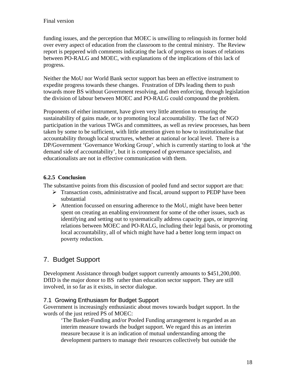funding issues, and the perception that MOEC is unwilling to relinquish its former hold over every aspect of education from the classroom to the central ministry. The Review report is peppered with comments indicating the lack of progress on issues of relations between PO-RALG and MOEC, with explanations of the implications of this lack of progress.

Neither the MoU nor World Bank sector support has been an effective instrument to expedite progress towards these changes. Frustration of DPs leading them to push towards more BS without Government resolving, and then enforcing, through legislation the division of labour between MOEC and PO-RALG could compound the problem.

Proponents of either instrument, have given very little attention to ensuring the sustainability of gains made, or to promoting local accountability. The fact of NGO participation in the various TWGs and committees, as well as review processes, has been taken by some to be sufficient, with little attention given to how to institutionalise that accountability through local structures, whether at national or local level. There is a DP/Government 'Governance Working Group', which is currently starting to look at 'the demand side of accountability', but it is composed of governance specialists, and educationalists are not in effective communication with them.

#### **6.2.5 Conclusion**

The substantive points from this discussion of pooled fund and sector support are that:

- $\triangleright$  Transaction costs, administrative and fiscal, around support to PEDP have been substantial
- $\triangleright$  Attention focussed on ensuring adherence to the MoU, might have been better spent on creating an enabling environment for some of the other issues, such as identifying and setting out to systematically address capacity gaps, or improving relations between MOEC and PO-RALG, including their legal basis, or promoting local accountability, all of which might have had a better long term impact on poverty reduction.

## 7. Budget Support

Development Assistance through budget support currently amounts to \$451,200,000. DfID is the major donor to BS rather than education sector support. They are still involved, in so far as it exists, in sector dialogue.

#### 7.1 Growing Enthusiasm for Budget Support

Government is increasingly enthusiastic about moves towards budget support. In the words of the just retired PS of MOEC:

'The Basket-Funding and/or Pooled Funding arrangement is regarded as an interim measure towards the budget support. We regard this as an interim measure because it is an indication of mutual understanding among the development partners to manage their resources collectively but outside the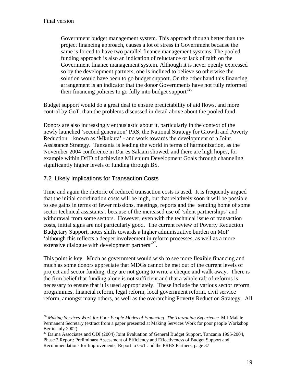$\overline{a}$ 

Government budget management system. This approach though better than the project financing approach, causes a lot of stress in Government because the same is forced to have two parallel finance management systems. The pooled funding approach is also an indication of reluctance or lack of faith on the Government finance management system. Although it is never openly expressed so by the development partners, one is inclined to believe so otherwise the solution would have been to go budget support. On the other hand this financing arrangement is an indicator that the donor Governments have not fully reformed their financing policies to go fully into budget support<sup> $26$ </sup>

Budget support would do a great deal to ensure predictability of aid flows, and more control by GoT, than the problems discussed in detail above about the pooled fund.

Donors are also increasingly enthusiastic about it, particularly in the context of the newly launched 'second generation' PRS, the National Strategy for Growth and Poverty Reduction – known as 'Mkukuta' - and work towards the development of a Joint Assistance Strategy. Tanzania is leading the world in terms of harmonization, as the November 2004 conference in Dar es Salaam showed, and there are high hopes, for example within DfID of achieving Millenium Development Goals through channeling significantly higher levels of funding through BS.

#### 7.2 Likely Implications for Transaction Costs

Time and again the rhetoric of reduced transaction costs is used. It is frequently argued that the initial coordination costs will be high, but that relatively soon it will be possible to see gains in terms of fewer missions, meetings, reports and the 'sending home of some sector technical assistants', because of the increased use of 'silent partnerships' and withdrawal from some sectors. However, even with the technical issue of transaction costs, initial signs are not particularly good. The current review of Poverty Reduction Budgetary Support, notes shifts towards a higher administrative burden on MoF 'although this reflects a deeper involvement in reform processes, as well as a more extensive dialogue with development partners<sup>27</sup>.

This point is key. Much as government would wish to see more flexible financing and much as some donors appreciate that MDGs cannot be met out of the current levels of project and sector funding, they are not going to write a cheque and walk away. There is the firm belief that funding alone is not sufficient and that a whole raft of reforms is necessary to ensure that it is used appropriately. These include the various sector reform programmes, financial reform, legal reform, local government reform, civil service reform, amongst many others, as well as the overarching Poverty Reduction Strategy. All

<sup>26</sup> *Making Services Work for Poor People Modes of Financing: The Tanzanian Experience.* M J Malale Permanent Secretary (extract from a paper presented at Making Services Work for poor people Workshop Berlin July 2002)

<sup>&</sup>lt;sup>27</sup> Daima Associates and ODI (2004) Joint Evaluation of General Budget Support, Tanzania 1995-2004, Phase 2 Report: Preliminary Assessment of Efficiency and Effectiveness of Budget Support and Recommendations for Improvements; Report to GoT and the PRBS Partners, page 37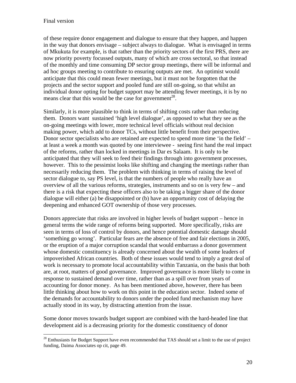1

of these require donor engagement and dialogue to ensure that they happen, and happen in the way that donors envisage – subject always to dialogue. What is envisaged in terms of Mkukuta for example, is that rather than the priority sectors of the first PRS, there are now priority poverty focussed outputs, many of which are cross sectoral, so that instead of the monthly and time consuming DP sector group meetings, there will be informal and ad hoc groups meeting to contribute to ensuring outputs are met. An optimist would anticipate that this could mean fewer meetings, but it must not be forgotten that the projects and the sector support and pooled fund are still on-going, so that whilst an individual donor opting for budget support may be attending fewer meetings, it is by no means clear that this would be the case for government<sup>28</sup>.

Similarly, it is more plausible to think in terms of shifting costs rather than reducing them. Donors want sustained 'high level dialogue', as opposed to what they see as the on-going meetings with lower, more technical level officials without real decision making power, which add to donor TCs, without little benefit from their perspective. Donor sector specialists who are retained are expected to spend more time 'in the field' – at least a week a month was quoted by one interviewee - seeing first hand the real impact of the reforms, rather than locked in meetings in Dar es Salaam. It is only to be anticipated that they will seek to feed their findings through into government processes, however. This to the pessimist looks like shifting and changing the meetings rather than necessarily reducing them. The problem with thinking in terms of raising the level of sector dialogue to, say PS level, is that the numbers of people who really have an overview of all the various reforms, strategies, instruments and so on is very few – and there is a risk that expecting these officers also to be taking a bigger share of the donor dialogue will either (a) be disappointed or (b) have an opportunity cost of delaying the deepening and enhanced GOT ownership of those very processes.

Donors appreciate that risks are involved in higher levels of budget support – hence in general terms the wide range of reforms being supported. More specifically, risks are seen in terms of loss of control by donors, and hence potential domestic damage should 'something go wrong'. Particular fears are the absence of free and fair elections in 2005, or the eruption of a major corruption scandal that would embarrass a donor government whose domestic constituency is already concerned about the wealth of some leaders of impoverished African countries. Both of these issues would tend to imply a great deal of work is necessary to promote local accountability within Tanzania, on the basis that both are, at root, matters of good governance. Improved governance is more likely to come in response to sustained demand over time, rather than as a spill over from years of accounting for donor money. As has been mentioned above, however, there has been little thinking about how to work on this point in the education sector. Indeed some of the demands for accountability to donors under the pooled fund mechanism may have actually stood in its way, by distracting attention from the issue.

Some donor moves towards budget support are combined with the hard-headed line that development aid is a decreasing priority for the domestic constituency of donor

 $28$  Enthusiasts for Budget Support have even recommended that TAS should set a limit to the use of project funding, Daima Associates op cit, page 49.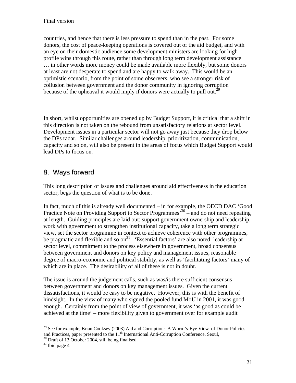countries, and hence that there is less pressure to spend than in the past. For some donors, the cost of peace-keeping operations is covered out of the aid budget, and with an eye on their domestic audience some development ministers are looking for high profile wins through this route, rather than through long term development assistance … in other words more money could be made available more flexibly, but some donors at least are not desperate to spend and are happy to walk away. This would be an optimistic scenario, from the point of some observers, who see a stronger risk of collusion between government and the donor community in ignoring corruption because of the upheaval it would imply if donors were actually to pull out.<sup>29</sup>

In short, whilst opportunities are opened up by Budget Support, it is critical that a shift in this direction is not taken on the rebound from unsatisfactory relations at sector level. Development issues in a particular sector will not go away just because they drop below the DPs radar. Similar challenges around leadership, prioritization, communication, capacity and so on, will also be present in the areas of focus which Budget Support would lead DPs to focus on.

## 8. Ways forward

This long description of issues and challenges around aid effectiveness in the education sector, begs the question of what is to be done.

In fact, much of this is already well documented – in for example, the OECD DAC 'Good Practice Note on Providing Support to Sector Programmes<sup>30</sup> – and do not need repeating at length. Guiding principles are laid out: support government ownership and leadership, work with government to strengthen institutional capacity, take a long term strategic view, set the sector programme in context to achieve coherence with other programmes, be pragmatic and flexible and so on<sup>31</sup>. 'Essential factors' are also noted: leadership at sector level, commitment to the process elsewhere in government, broad consensus between government and donors on key policy and management issues, reasonable degree of macro-economic and political stability, as well as 'facilitating factors' many of which are in place. The desirability of all of these is not in doubt.

The issue is around the judgement calls, such as was/is there sufficient consensus between government and donors on key management issues. Given the current dissatisfactions, it would be easy to be negative. However, this is with the benefit of hindsight. In the view of many who signed the pooled fund MoU in 2001, it was good enough. Certainly from the point of view of government, it was 'as good as could be achieved at the time' – more flexibility given to government over for example audit

 $\overline{a}$ 

<sup>&</sup>lt;sup>29</sup> See for example, Brian Cooksey (2003) Aid and Corruption: A Worm's-Eye View of Donor Policies and Practices, paper presented to the  $11<sup>th</sup>$  International Anti-Corruption Conference, Seoul,  $^{30}$  Draft of 13 October 2004, still being finalised.

 $31$  Ibid page 4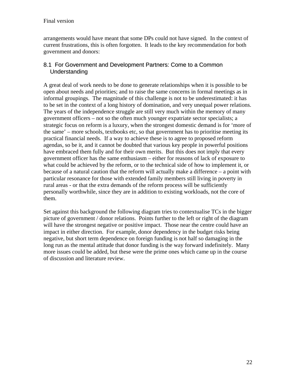arrangements would have meant that some DPs could not have signed. In the context of current frustrations, this is often forgotten. It leads to the key recommendation for both government and donors:

#### 8.1 For Government and Development Partners: Come to a Common Understanding

A great deal of work needs to be done to generate relationships when it is possible to be open about needs and priorities; and to raise the same concerns in formal meetings as in informal groupings. The magnitude of this challenge is not to be underestimated: it has to be set in the context of a long history of domination, and very unequal power relations. The years of the independence struggle are still very much within the memory of many government officers – not so the often much younger expatriate sector specialists; a strategic focus on reform is a luxury, when the strongest domestic demand is for 'more of the same' – more schools, textbooks etc, so that government has to prioritise meeting its practical financial needs. If a way to achieve these is to agree to proposed reform agendas, so be it, and it cannot be doubted that various key people in powerful positions have embraced them fully and for their own merits. But this does not imply that every government officer has the same enthusiasm – either for reasons of lack of exposure to what could be achieved by the reform, or to the technical side of how to implement it, or because of a natural caution that the reform will actually make a difference – a point with particular resonance for those with extended family members still living in poverty in rural areas - or that the extra demands of the reform process will be sufficiently personally worthwhile, since they are in addition to existing workloads, not the core of them.

Set against this background the following diagram tries to contextualise TCs in the bigger picture of government / donor relations. Points further to the left or right of the diagram will have the strongest negative or positive impact. Those near the centre could have an impact in either direction. For example, donor dependency in the budget risks being negative, but short term dependence on foreign funding is not half so damaging in the long run as the mental attitude that donor funding is the way forward indefinitely. Many more issues could be added, but these were the prime ones which came up in the course of discussion and literature review.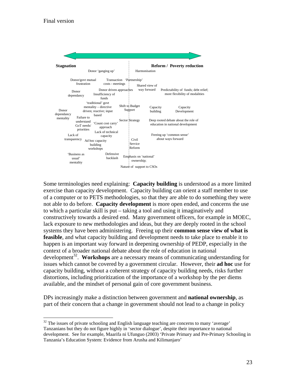$\overline{a}$ 



Some terminologies need explaining: **Capacity building** is understood as a more limited exercise than capacity development. Capacity building can orient a staff member to use of a computer or to PETS methodologies, so that they are able to do something they were not able to do before. **Capacity development** is more open ended, and concerns the use to which a particular skill is put – taking a tool and using it imaginatively and constructively towards a desired end. Many government officers, for example in MOEC, lack exposure to new methodologies and ideas, but they are deeply rooted in the school systems they have been administering. Freeing up their **common sense view of what is feasible**, and what capacity building and development needs to take place to enable it to happen is an important way forward in deepening ownership of PEDP, especially in the context of a broader national debate about the role of education in national development<sup>32</sup>. Workshops are a necessary means of communicating understanding for issues which cannot be covered by a government circular. However, their **ad hoc** use for capacity building, without a coherent strategy of capacity building needs, risks further distortions, including prioritization of the importance of a workshop by the per diems available, and the mindset of personal gain of core government business.

DPs increasingly make a distinction between government and **national ownership**, as part of their concern that a change in government should not lead to a change in policy

<sup>&</sup>lt;sup>32</sup> The issues of private schooling and English language teaching are concerns to many 'average' Tanzanians but they do not figure highly in 'sector dialogue', despite their importance to national development. See for example, Maarifa ni Ufunguo (2003) 'Private Primary and Pre-Primary Schooling in Tanzania's Education System: Evidence from Arusha and Kilimanjaro'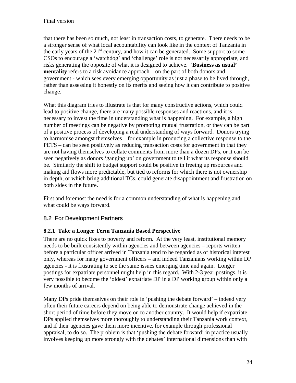that there has been so much, not least in transaction costs, to generate. There needs to be a stronger sense of what local accountability can look like in the context of Tanzania in the early years of the  $21<sup>st</sup>$  century, and how it can be generated. Some support to some CSOs to encourage a 'watchdog' and 'challenge' role is not necessarily appropriate, and risks generating the opposite of what it is designed to achieve. '**Business as usual' mentality** refers to a risk avoidance approach – on the part of both donors and government - which sees every emerging opportunity as just a phase to be lived through, rather than assessing it honestly on its merits and seeing how it can contribute to positive change.

What this diagram tries to illustrate is that for many constructive actions, which could lead to positive change, there are many possible responses and reactions, and it is necessary to invest the time in understanding what is happening. For example, a high number of meetings can be negative by promoting mutual frustration, or they can be part of a positive process of developing a real understanding of ways forward. Donors trying to harmonise amongst themselves – for example in producing a collective response to the PETS – can be seen positively as reducing transaction costs for government in that they are not having themselves to collate comments from more than a dozen DPs, or it can be seen negatively as donors 'ganging up' on government to tell it what its response should be. Similarly the shift to budget support could be positive in freeing up resources and making aid flows more predictable, but tied to reforms for which there is not ownership in depth, or which bring additional TCs, could generate disappointment and frustration on both sides in the future.

First and foremost the need is for a common understanding of what is happening and what could be ways forward.

#### 8.2 For Development Partners

#### **8.2.1 Take a Longer Term Tanzania Based Perspective**

There are no quick fixes to poverty and reform. At the very least, institutional memory needs to be built consistently within agencies and between agencies – reports written before a particular officer arrived in Tanzania tend to be regarded as of historical interest only, whereas for many government officers – and indeed Tanzanians working within DP agencies - it is frustrating to see the same issues emerging time and again. Longer postings for expatriate personnel might help in this regard. With 2-3 year postings, it is very possible to become the 'oldest' expatriate DP in a DP working group within only a few months of arrival.

Many DPs pride themselves on their role in 'pushing the debate forward' – indeed very often their future careers depend on being able to demonstrate change achieved in the short period of time before they move on to another country. It would help if expatriate DPs applied themselves more thoroughly to understanding their Tanzania work context, and if their agencies gave them more incentive, for example through professional appraisal, to do so. The problem is that 'pushing the debate forward' in practice usually involves keeping up more strongly with the debates' international dimensions than with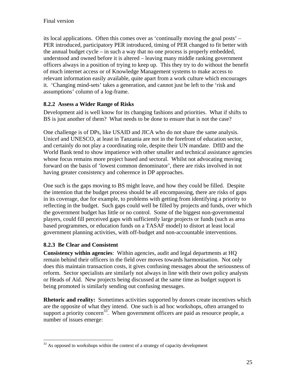its local applications. Often this comes over as 'continually moving the goal posts' – PER introduced, participatory PER introduced, timing of PER changed to fit better with the annual budget cycle – in such a way that no one process is properly embedded, understood and owned before it is altered – leaving many middle ranking government officers always in a position of trying to keep up. This they try to do without the benefit of much internet access or of Knowledge Management systems to make access to relevant information easily available, quite apart from a work culture which encourages it. 'Changing mind-sets' takes a generation, and cannot just be left to the 'risk and assumptions' column of a log-frame.

#### **8.2.2 Assess a Wider Range of Risks**

Development aid is well know for its changing fashions and priorities. What if shifts to BS is just another of them? What needs to be done to ensure that is not the case?

One challenge is of DPs, like USAID and JICA who do not share the same analysis. Unicef and UNESCO, at least in Tanzania are not in the forefront of education sector, and certainly do not play a coordinating role, despite their UN mandate. DfID and the World Bank tend to show impatience with other smaller and technical assistance agencies whose focus remains more project based and sectoral. Whilst not advocating moving forward on the basis of 'lowest common denominator', there are risks involved in not having greater consistency and coherence in DP approaches.

One such is the gaps moving to BS might leave, and how they could be filled. Despite the intention that the budget process should be all encompassing, there are risks of gaps in its coverage, due for example, to problems with getting from identifying a priority to reflecting in the budget. Such gaps could well be filled by projects and funds, over which the government budget has little or no control. Some of the biggest non-governmental players, could fill perceived gaps with sufficiently large projects or funds (such as area based programmes, or education funds on a TASAF model) to distort at least local government planning activities, with off-budget and non-accountable interventions.

#### **8.2.3 Be Clear and Consistent**

<u>.</u>

**Consistency within agencies**: Within agencies, audit and legal departments at HQ remain behind their officers in the field over moves towards harmonisation. Not only does this maintain transaction costs, it gives confusing messages about the seriousness of reform. Sector specialists are similarly not always in line with their own policy analysts or Heads of Aid. New projects being discussed at the same time as budget support is being promoted is similarly sending out confusing messages.

**Rhetoric and reality:** Sometimes activities supported by donors create incentives which are the opposite of what they intend. One such is ad hoc workshops, often arranged to support a priority concern<sup>33</sup>. When government officers are paid as resource people, a number of issues emerge:

<sup>&</sup>lt;sup>33</sup> As opposed to workshops within the context of a strategy of capacity development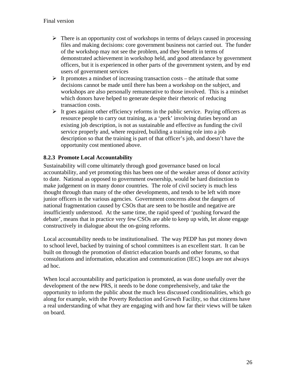- $\triangleright$  There is an opportunity cost of workshops in terms of delays caused in processing files and making decisions: core government business not carried out. The funder of the workshop may not see the problem, and they benefit in terms of demonstrated achievement in workshop held, and good attendance by government officers, but it is experienced in other parts of the government system, and by end users of government services
- $\triangleright$  It promotes a mindset of increasing transaction costs the attitude that some decisions cannot be made until there has been a workshop on the subject, and workshops are also personally remunerative to those involved. This is a mindset which donors have helped to generate despite their rhetoric of reducing transaction costs.
- $\triangleright$  It goes against other efficiency reforms in the public service. Paying officers as resource people to carry out training, as a 'perk' involving duties beyond an existing job description, is not as sustainable and effective as funding the civil service properly and, where required, building a training role into a job description so that the training is part of that officer's job, and doesn't have the opportunity cost mentioned above.

#### **8.2.3 Promote Local Accountability**

Sustainability will come ultimately through good governance based on local accountability, and yet promoting this has been one of the weaker areas of donor activity to date. National as opposed to government ownership, would be hard distinction to make judgement on in many donor countries. The role of civil society is much less thought through than many of the other developments, and tends to be left with more junior officers in the various agencies. Government concerns about the dangers of national fragmentation caused by CSOs that are seen to be hostile and negative are insufficiently understood. At the same time, the rapid speed of 'pushing forward the debate', means that in practice very few CSOs are able to keep up with, let alone engage constructively in dialogue about the on-going reforms.

Local accountability needs to be institutionalised. The way PEDP has put money down to school level, backed by training of school committees is an excellent start. It can be built on through the promotion of district education boards and other forums, so that consultations and information, education and communication (IEC) loops are not always ad hoc.

When local accountability and participation is promoted, as was done usefully over the development of the new PRS, it needs to be done comprehensively, and take the opportunity to inform the public about the much less discussed conditionalities, which go along for example, with the Poverty Reduction and Growth Facility, so that citizens have a real understanding of what they are engaging with and how far their views will be taken on board.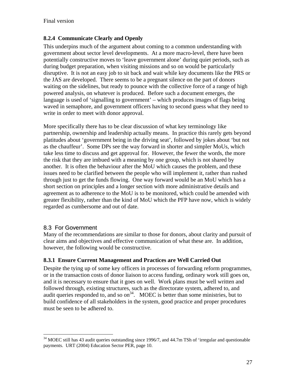#### **8.2.4 Communicate Clearly and Openly**

This underpins much of the argument about coming to a common understanding with government about sector level developments. At a more macro-level, there have been potentially constructive moves to 'leave government alone' during quiet periods, such as during budget preparation, when visiting missions and so on would be particularly disruptive. It is not an easy job to sit back and wait while key documents like the PRS or the JAS are developed. There seems to be a pregnant silence on the part of donors waiting on the sidelines, but ready to pounce with the collective force of a range of high powered analysis, on whatever is produced. Before such a document emerges, the language is used of 'signalling to government' – which produces images of flags being waved in semaphore, and government officers having to second guess what they need to write in order to meet with donor approval.

More specifically there has to be clear discussion of what key terminology like partnership, ownership and leadership actually means. In practice this rarely gets beyond platitudes about 'government being in the driving seat', followed by jokes about 'but not as the chauffeur'. Some DPs see the way forward in shorter and simpler MoUs, which take less time to discuss and get approval for. However, the fewer the words, the more the risk that they are imbued with a meaning by one group, which is not shared by another. It is often the behaviour after the MoU which causes the problem, and these issues need to be clarified between the people who will implement it, rather than rushed through just to get the funds flowing. One way forward would be an MoU which has a short section on principles and a longer section with more administrative details and agreement as to adherence to the MoU is to be monitored, which could be amended with greater flexibility, rather than the kind of MoU which the PFP have now, which is widely regarded as cumbersome and out of date.

#### 8.3 For Government

1

Many of the recommendations are similar to those for donors, about clarity and pursuit of clear aims and objectives and effective communication of what these are. In addition, however, the following would be constructive.

#### **8.3.1 Ensure Current Management and Practices are Well Carried Out**

Despite the tying up of some key officers in processes of forwarding reform programmes, or in the transaction costs of donor liaison to access funding, ordinary work still goes on, and it is necessary to ensure that it goes on well. Work plans must be well written and followed through, existing structures, such as the directorate system, adhered to, and audit queries responded to, and so  $on<sup>34</sup>$ . MOEC is better than some ministries, but to build confidence of all stakeholders in the system, good practice and proper procedures must be seen to be adhered to.

 $34$  MOEC still has 43 audit queries outstanding since 1996/7, and 44.7m TSh of 'irregular and questionable payments. URT (2004) Education Sector PER, page 10.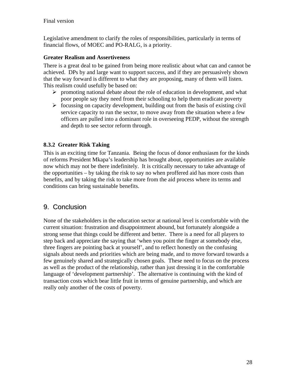Legislative amendment to clarify the roles of responsibilities, particularly in terms of financial flows, of MOEC and PO-RALG, is a priority.

#### **Greater Realism and Assertiveness**

There is a great deal to be gained from being more realistic about what can and cannot be achieved. DPs by and large want to support success, and if they are persuasively shown that the way forward is different to what they are proposing, many of them will listen. This realism could usefully be based on:

- $\triangleright$  promoting national debate about the role of education in development, and what poor people say they need from their schooling to help them eradicate poverty
- $\triangleright$  focussing on capacity development, building out from the basis of existing civil service capacity to run the sector, to move away from the situation where a few officers are pulled into a dominant role in overseeing PEDP, without the strength and depth to see sector reform through.

#### **8.3.2 Greater Risk Taking**

This is an exciting time for Tanzania. Being the focus of donor enthusiasm for the kinds of reforms President Mkapa's leadership has brought about, opportunities are available now which may not be there indefinitely. It is critically necessary to take advantage of the opportunities – by taking the risk to say no when proffered aid has more costs than benefits, and by taking the risk to take more from the aid process where its terms and conditions can bring sustainable benefits.

## 9. Conclusion

None of the stakeholders in the education sector at national level is comfortable with the current situation: frustration and disappointment abound, but fortunately alongside a strong sense that things could be different and better. There is a need for all players to step back and appreciate the saying that 'when you point the finger at somebody else, three fingers are pointing back at yourself', and to reflect honestly on the confusing signals about needs and priorities which are being made, and to move forward towards a few genuinely shared and strategically chosen goals. These need to focus on the process as well as the product of the relationship, rather than just dressing it in the comfortable language of 'development partnership'. The alternative is continuing with the kind of transaction costs which bear little fruit in terms of genuine partnership, and which are really only another of the costs of poverty.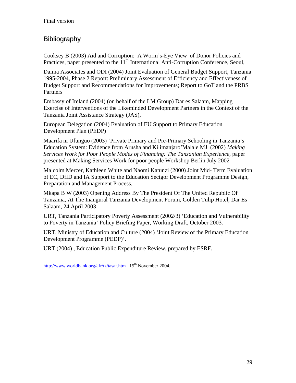## Bibliography

Cooksey B (2003) Aid and Corruption: A Worm's-Eye View of Donor Policies and Practices, paper presented to the  $11<sup>th</sup>$  International Anti-Corruption Conference, Seoul,

Daima Associates and ODI (2004) Joint Evaluation of General Budget Support, Tanzania 1995-2004, Phase 2 Report: Preliminary Assessment of Efficiency and Effectiveness of Budget Support and Recommendations for Improvements; Report to GoT and the PRBS Partners

Embassy of Ireland (2004) (on behalf of the LM Group) Dar es Salaam, Mapping Exercise of Interventions of the Likeminded Development Partners in the Context of the Tanzania Joint Assistance Strategy (JAS),

European Delegation (2004) Evaluation of EU Support to Primary Education Development Plan (PEDP)

Maarifa ni Ufunguo (2003) 'Private Primary and Pre-Primary Schooling in Tanzania's Education System: Evidence from Arusha and Kilimanjaro'Malale MJ (2002) *Making Services Work for Poor People Modes of Financing: The Tanzanian Experience, paper* presented at Making Services Work for poor people Workshop Berlin July 2002

Malcolm Mercer, Kathleen White and Naomi Katunzi (2000) Joint Mid- Term Evaluation of EC, DfID and IA Support to the Education Sectgor Development Programme Design, Preparation and Management Process.

Mkapa B W (2003) Opening Address By The President Of The United Republic Of Tanzania, At The Inaugural Tanzania Development Forum, Golden Tulip Hotel, Dar Es Salaam, 24 April 2003

URT, Tanzania Participatory Poverty Assessment (2002/3) 'Education and Vulnerability to Poverty in Tanzania' Policy Briefing Paper, Working Draft, October 2003.

URT, Ministry of Education and Culture (2004) 'Joint Review of the Primary Education Development Programme (PEDP)'.

URT (2004) , Education Public Expenditure Review, prepared by ESRF.

http://www.worldbank.org/afr/tz/tasaf.htm  $15<sup>th</sup>$  November 2004.